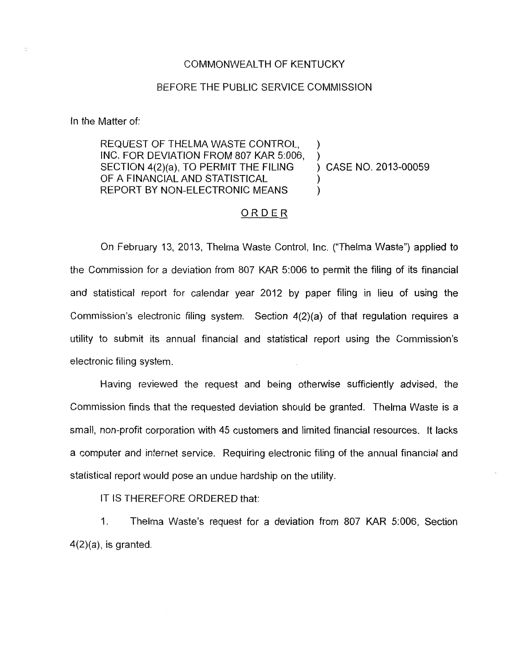## COMMONWEALTH OF KENTUCKY

## BEFORE THE PUBLIC SERVICE COMMISSION

In the Matter of:

## REQUEST OF THELMA WASTE CONTROL, INC. FOR DEVIATION FROM 807 KAR 5:006, SECTION 4(2)(a), TO PERMIT THE FILING OF A FINANCIAL AND STATISTICAL  $\left( \begin{array}{cc} 0 & 0 \\ 0 & 0 \end{array} \right)$ REPORT BY NON-ELECTRONIC MEANS ) )

) CASE NO. 2013-00059

## ORDER

On February 13, 2013, Thelma Waste Control, Inc. ("Thelma Waste") applied to the Commission for a deviation from 807 KAR 5:006 to permit the filing of its financial and statistical report for calendar year 2012 by paper filing in lieu of using the Commission's electronic filing system. Section 4(2)(a) of that regulation requires a utility to submit its annual financial and statistical report using the Commission's electronic filing system.

Having reviewed the request and being otherwise sufficiently advised, the Commission finds that the requested deviation should be granted. Thelma Waste is a small, non-profit corporation with 45 customers and limited financial resources. It lacks a computer and internet service. Requiring electronic filing of the annual financial and statistical report would pose an undue hardship on the utility.

IT IS THEREFORE ORDERED that:

1. Thelma Waste's request for a deviation from 807 KAR 5:006, Section  $4(2)(a)$ , is granted.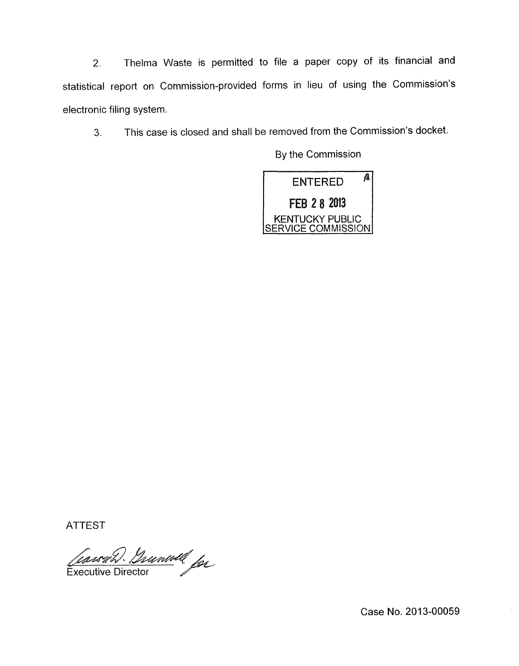2. Thelma Waste is permitted to file a paper copy of its financial and statistical report on Commission-provided forms in lieu of using the Commission's electronic filing system.

**3.** This case is closed and shall be removed from the Commission's docket.

By the Commission



ATTEST

Cassah Gunwell for **Executive Director** 

Case No. 2013-00059